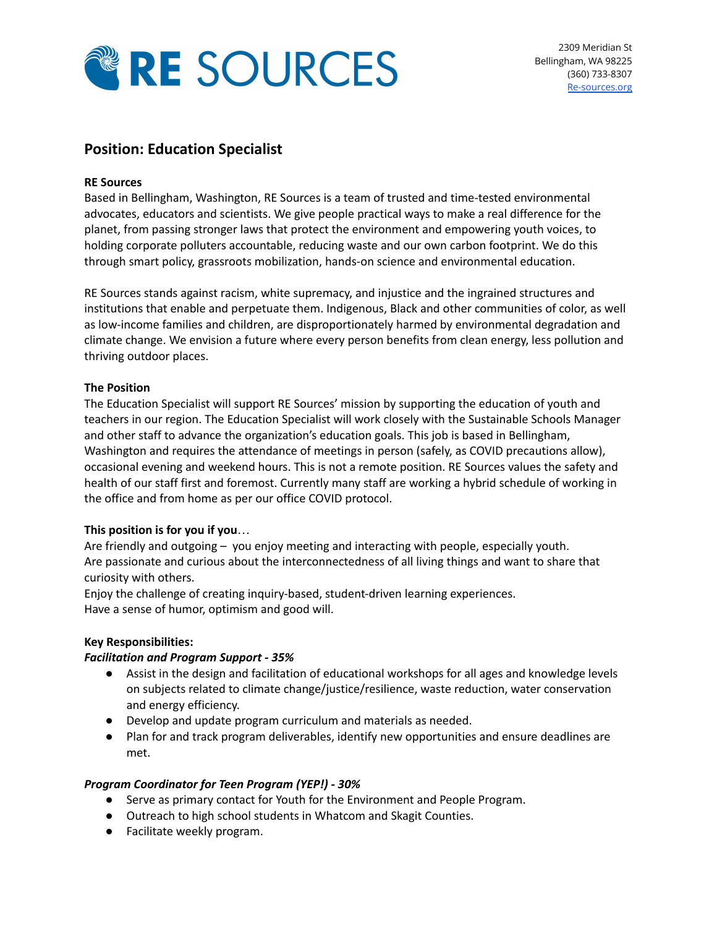

# **Position: Education Specialist**

# **RE Sources**

Based in Bellingham, Washington, RE Sources is a team of trusted and time-tested environmental advocates, educators and scientists. We give people practical ways to make a real difference for the planet, from passing stronger laws that protect the environment and empowering youth voices, to holding corporate polluters accountable, reducing waste and our own carbon footprint. We do this through smart policy, grassroots mobilization, hands-on science and environmental education.

RE Sources stands against racism, white supremacy, and injustice and the ingrained structures and institutions that enable and perpetuate them. Indigenous, Black and other communities of color, as well as low-income families and children, are disproportionately harmed by environmental degradation and climate change. We envision a future where every person benefits from clean energy, less pollution and thriving outdoor places.

# **The Position**

The Education Specialist will support RE Sources' mission by supporting the education of youth and teachers in our region. The Education Specialist will work closely with the Sustainable Schools Manager and other staff to advance the organization's education goals. This job is based in Bellingham, Washington and requires the attendance of meetings in person (safely, as COVID precautions allow), occasional evening and weekend hours. This is not a remote position. RE Sources values the safety and health of our staff first and foremost. Currently many staff are working a hybrid schedule of working in the office and from home as per our office COVID protocol.

# **This position is for you if you**…

Are friendly and outgoing – you enjoy meeting and interacting with people, especially youth. Are passionate and curious about the interconnectedness of all living things and want to share that curiosity with others.

Enjoy the challenge of creating inquiry-based, student-driven learning experiences. Have a sense of humor, optimism and good will.

# **Key Responsibilities:**

# *Facilitation and Program Support - 35%*

- Assist in the design and facilitation of educational workshops for all ages and knowledge levels on subjects related to climate change/justice/resilience, waste reduction, water conservation and energy efficiency.
- Develop and update program curriculum and materials as needed.
- Plan for and track program deliverables, identify new opportunities and ensure deadlines are met.

# *Program Coordinator for Teen Program (YEP!) - 30%*

- Serve as primary contact for Youth for the Environment and People Program.
- Outreach to high school students in Whatcom and Skagit Counties.
- Facilitate weekly program.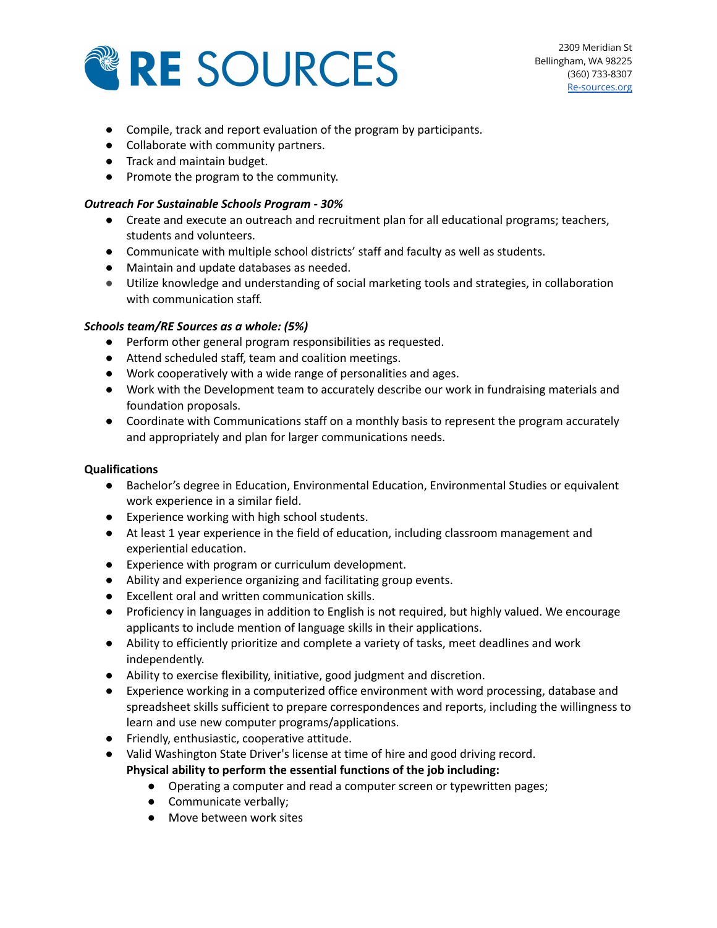

- Compile, track and report evaluation of the program by participants.
- Collaborate with community partners.
- Track and maintain budget.
- Promote the program to the community.

# *Outreach For Sustainable Schools Program - 30%*

- Create and execute an outreach and recruitment plan for all educational programs; teachers, students and volunteers.
- Communicate with multiple school districts' staff and faculty as well as students.
- Maintain and update databases as needed.
- Utilize knowledge and understanding of social marketing tools and strategies, in collaboration with communication staff.

# *Schools team/RE Sources as a whole: (5%)*

- Perform other general program responsibilities as requested.
- Attend scheduled staff, team and coalition meetings.
- Work cooperatively with a wide range of personalities and ages.
- Work with the Development team to accurately describe our work in fundraising materials and foundation proposals.
- Coordinate with Communications staff on a monthly basis to represent the program accurately and appropriately and plan for larger communications needs.

# **Qualifications**

- Bachelor's degree in Education, Environmental Education, Environmental Studies or equivalent work experience in a similar field.
- Experience working with high school students.
- At least 1 year experience in the field of education, including classroom management and experiential education.
- Experience with program or curriculum development.
- Ability and experience organizing and facilitating group events.
- Excellent oral and written communication skills.
- Proficiency in languages in addition to English is not required, but highly valued. We encourage applicants to include mention of language skills in their applications.
- Ability to efficiently prioritize and complete a variety of tasks, meet deadlines and work independently.
- Ability to exercise flexibility, initiative, good judgment and discretion.
- Experience working in a computerized office environment with word processing, database and spreadsheet skills sufficient to prepare correspondences and reports, including the willingness to learn and use new computer programs/applications.
- Friendly, enthusiastic, cooperative attitude.
- Valid Washington State Driver's license at time of hire and good driving record. **Physical ability to perform the essential functions of the job including:**
	- Operating a computer and read a computer screen or typewritten pages;
	- Communicate verbally;
	- Move between work sites